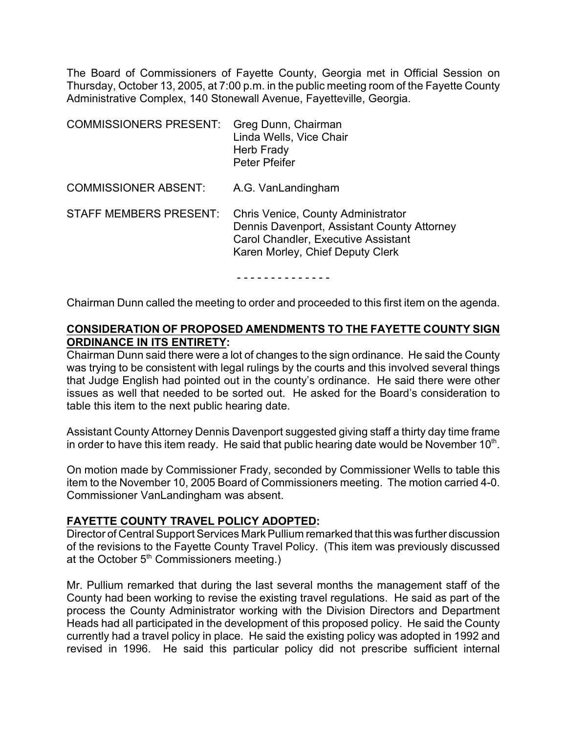The Board of Commissioners of Fayette County, Georgia met in Official Session on Thursday, October 13, 2005, at 7:00 p.m. in the public meeting room of the Fayette County Administrative Complex, 140 Stonewall Avenue, Fayetteville, Georgia.

| <b>COMMISSIONERS PRESENT:</b> | Greg Dunn, Chairman<br>Linda Wells, Vice Chair<br>Herb Frady<br><b>Peter Pfeifer</b>                                                                                       |
|-------------------------------|----------------------------------------------------------------------------------------------------------------------------------------------------------------------------|
| <b>COMMISSIONER ABSENT:</b>   | A.G. VanLandingham                                                                                                                                                         |
| <b>STAFF MEMBERS PRESENT:</b> | <b>Chris Venice, County Administrator</b><br>Dennis Davenport, Assistant County Attorney<br><b>Carol Chandler, Executive Assistant</b><br>Karen Morley, Chief Deputy Clerk |

- - - - - - - - - - - - - -

Chairman Dunn called the meeting to order and proceeded to this first item on the agenda.

### **CONSIDERATION OF PROPOSED AMENDMENTS TO THE FAYETTE COUNTY SIGN ORDINANCE IN ITS ENTIRETY:**

Chairman Dunn said there were a lot of changes to the sign ordinance. He said the County was trying to be consistent with legal rulings by the courts and this involved several things that Judge English had pointed out in the county's ordinance. He said there were other issues as well that needed to be sorted out. He asked for the Board's consideration to table this item to the next public hearing date.

Assistant County Attorney Dennis Davenport suggested giving staff a thirty day time frame in order to have this item ready. He said that public hearing date would be November 10<sup>th</sup>.

On motion made by Commissioner Frady, seconded by Commissioner Wells to table this item to the November 10, 2005 Board of Commissioners meeting. The motion carried 4-0. Commissioner VanLandingham was absent.

#### **FAYETTE COUNTY TRAVEL POLICY ADOPTED:**

Director of Central Support Services Mark Pullium remarked that this was further discussion of the revisions to the Fayette County Travel Policy. (This item was previously discussed at the October  $5<sup>th</sup>$  Commissioners meeting.)

Mr. Pullium remarked that during the last several months the management staff of the County had been working to revise the existing travel regulations. He said as part of the process the County Administrator working with the Division Directors and Department Heads had all participated in the development of this proposed policy. He said the County currently had a travel policy in place. He said the existing policy was adopted in 1992 and revised in 1996. He said this particular policy did not prescribe sufficient internal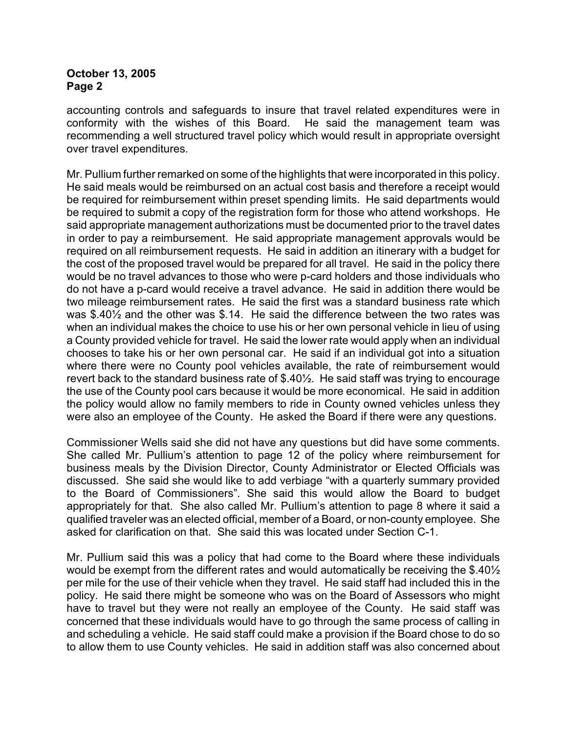accounting controls and safeguards to insure that travel related expenditures were in conformity with the wishes of this Board. He said the management team was recommending a well structured travel policy which would result in appropriate oversight over travel expenditures.

Mr. Pullium further remarked on some of the highlights that were incorporated in this policy. He said meals would be reimbursed on an actual cost basis and therefore a receipt would be required for reimbursement within preset spending limits. He said departments would be required to submit a copy of the registration form for those who attend workshops. He said appropriate management authorizations must be documented prior to the travel dates in order to pay a reimbursement. He said appropriate management approvals would be required on all reimbursement requests. He said in addition an itinerary with a budget for the cost of the proposed travel would be prepared for all travel. He said in the policy there would be no travel advances to those who were p-card holders and those individuals who do not have a p-card would receive a travel advance. He said in addition there would be two mileage reimbursement rates. He said the first was a standard business rate which was \$.40½ and the other was \$.14. He said the difference between the two rates was when an individual makes the choice to use his or her own personal vehicle in lieu of using a County provided vehicle for travel. He said the lower rate would apply when an individual chooses to take his or her own personal car. He said if an individual got into a situation where there were no County pool vehicles available, the rate of reimbursement would revert back to the standard business rate of \$.40½. He said staff was trying to encourage the use of the County pool cars because it would be more economical. He said in addition the policy would allow no family members to ride in County owned vehicles unless they were also an employee of the County. He asked the Board if there were any questions.

Commissioner Wells said she did not have any questions but did have some comments. She called Mr. Pullium's attention to page 12 of the policy where reimbursement for business meals by the Division Director, County Administrator or Elected Officials was discussed. She said she would like to add verbiage "with a quarterly summary provided to the Board of Commissioners". She said this would allow the Board to budget appropriately for that. She also called Mr. Pullium's attention to page 8 where it said a qualified traveler was an elected official, member of a Board, or non-county employee. She asked for clarification on that. She said this was located under Section C-1.

Mr. Pullium said this was a policy that had come to the Board where these individuals would be exempt from the different rates and would automatically be receiving the \$.40½ per mile for the use of their vehicle when they travel. He said staff had included this in the policy. He said there might be someone who was on the Board of Assessors who might have to travel but they were not really an employee of the County. He said staff was concerned that these individuals would have to go through the same process of calling in and scheduling a vehicle. He said staff could make a provision if the Board chose to do so to allow them to use County vehicles. He said in addition staff was also concerned about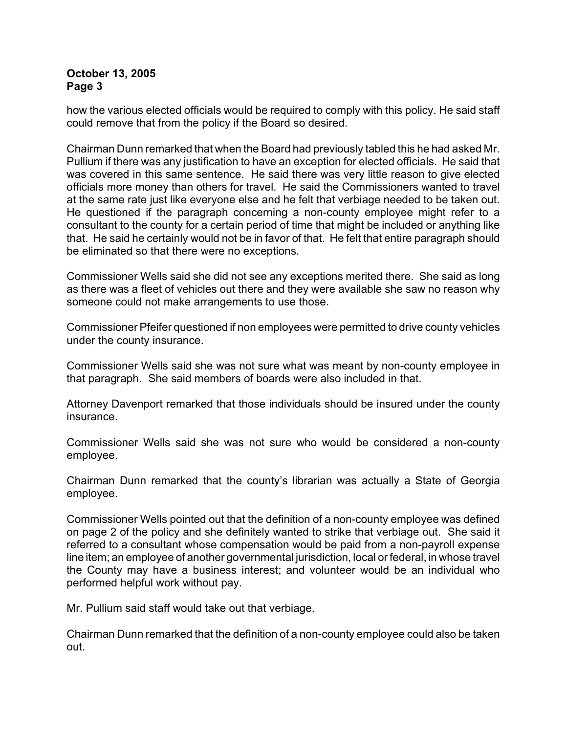how the various elected officials would be required to comply with this policy. He said staff could remove that from the policy if the Board so desired.

Chairman Dunn remarked that when the Board had previously tabled this he had asked Mr. Pullium if there was any justification to have an exception for elected officials. He said that was covered in this same sentence. He said there was very little reason to give elected officials more money than others for travel. He said the Commissioners wanted to travel at the same rate just like everyone else and he felt that verbiage needed to be taken out. He questioned if the paragraph concerning a non-county employee might refer to a consultant to the county for a certain period of time that might be included or anything like that. He said he certainly would not be in favor of that. He felt that entire paragraph should be eliminated so that there were no exceptions.

Commissioner Wells said she did not see any exceptions merited there. She said as long as there was a fleet of vehicles out there and they were available she saw no reason why someone could not make arrangements to use those.

Commissioner Pfeifer questioned if non employees were permitted to drive county vehicles under the county insurance.

Commissioner Wells said she was not sure what was meant by non-county employee in that paragraph. She said members of boards were also included in that.

Attorney Davenport remarked that those individuals should be insured under the county insurance.

Commissioner Wells said she was not sure who would be considered a non-county employee.

Chairman Dunn remarked that the county's librarian was actually a State of Georgia employee.

Commissioner Wells pointed out that the definition of a non-county employee was defined on page 2 of the policy and she definitely wanted to strike that verbiage out. She said it referred to a consultant whose compensation would be paid from a non-payroll expense line item; an employee of another governmental jurisdiction, local or federal, in whose travel the County may have a business interest; and volunteer would be an individual who performed helpful work without pay.

Mr. Pullium said staff would take out that verbiage.

Chairman Dunn remarked that the definition of a non-county employee could also be taken out.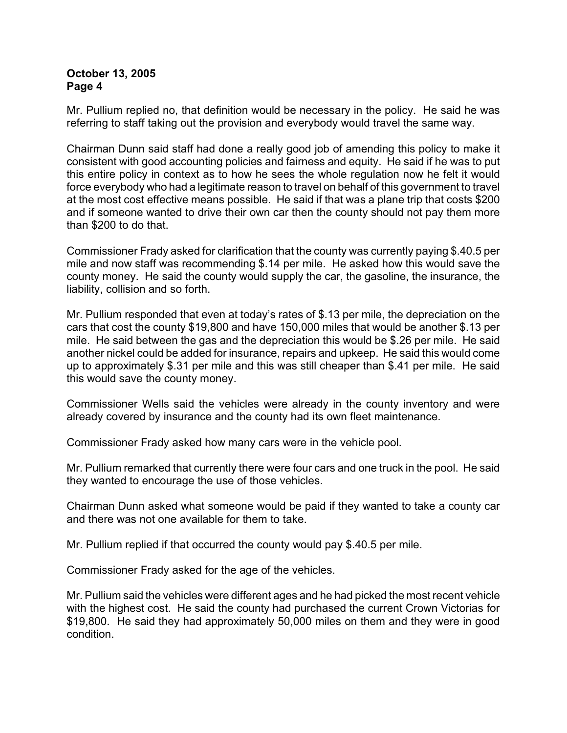Mr. Pullium replied no, that definition would be necessary in the policy. He said he was referring to staff taking out the provision and everybody would travel the same way.

Chairman Dunn said staff had done a really good job of amending this policy to make it consistent with good accounting policies and fairness and equity. He said if he was to put this entire policy in context as to how he sees the whole regulation now he felt it would force everybody who had a legitimate reason to travel on behalf of this government to travel at the most cost effective means possible. He said if that was a plane trip that costs \$200 and if someone wanted to drive their own car then the county should not pay them more than \$200 to do that.

Commissioner Frady asked for clarification that the county was currently paying \$.40.5 per mile and now staff was recommending \$.14 per mile. He asked how this would save the county money. He said the county would supply the car, the gasoline, the insurance, the liability, collision and so forth.

Mr. Pullium responded that even at today's rates of \$.13 per mile, the depreciation on the cars that cost the county \$19,800 and have 150,000 miles that would be another \$.13 per mile. He said between the gas and the depreciation this would be \$.26 per mile. He said another nickel could be added for insurance, repairs and upkeep. He said this would come up to approximately \$.31 per mile and this was still cheaper than \$.41 per mile. He said this would save the county money.

Commissioner Wells said the vehicles were already in the county inventory and were already covered by insurance and the county had its own fleet maintenance.

Commissioner Frady asked how many cars were in the vehicle pool.

Mr. Pullium remarked that currently there were four cars and one truck in the pool. He said they wanted to encourage the use of those vehicles.

Chairman Dunn asked what someone would be paid if they wanted to take a county car and there was not one available for them to take.

Mr. Pullium replied if that occurred the county would pay \$.40.5 per mile.

Commissioner Frady asked for the age of the vehicles.

Mr. Pullium said the vehicles were different ages and he had picked the most recent vehicle with the highest cost. He said the county had purchased the current Crown Victorias for \$19,800. He said they had approximately 50,000 miles on them and they were in good condition.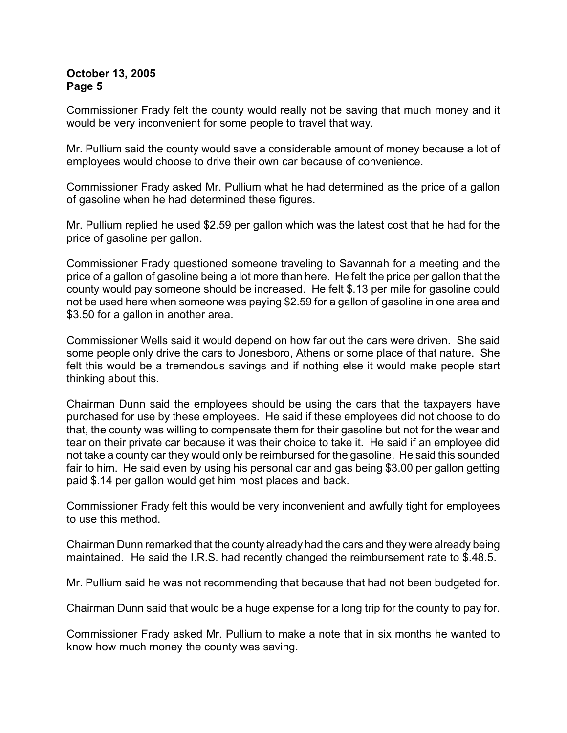Commissioner Frady felt the county would really not be saving that much money and it would be very inconvenient for some people to travel that way.

Mr. Pullium said the county would save a considerable amount of money because a lot of employees would choose to drive their own car because of convenience.

Commissioner Frady asked Mr. Pullium what he had determined as the price of a gallon of gasoline when he had determined these figures.

Mr. Pullium replied he used \$2.59 per gallon which was the latest cost that he had for the price of gasoline per gallon.

Commissioner Frady questioned someone traveling to Savannah for a meeting and the price of a gallon of gasoline being a lot more than here. He felt the price per gallon that the county would pay someone should be increased. He felt \$.13 per mile for gasoline could not be used here when someone was paying \$2.59 for a gallon of gasoline in one area and \$3.50 for a gallon in another area.

Commissioner Wells said it would depend on how far out the cars were driven. She said some people only drive the cars to Jonesboro, Athens or some place of that nature. She felt this would be a tremendous savings and if nothing else it would make people start thinking about this.

Chairman Dunn said the employees should be using the cars that the taxpayers have purchased for use by these employees. He said if these employees did not choose to do that, the county was willing to compensate them for their gasoline but not for the wear and tear on their private car because it was their choice to take it. He said if an employee did not take a county car they would only be reimbursed for the gasoline. He said this sounded fair to him. He said even by using his personal car and gas being \$3.00 per gallon getting paid \$.14 per gallon would get him most places and back.

Commissioner Frady felt this would be very inconvenient and awfully tight for employees to use this method.

Chairman Dunn remarked that the county already had the cars and they were already being maintained. He said the I.R.S. had recently changed the reimbursement rate to \$.48.5.

Mr. Pullium said he was not recommending that because that had not been budgeted for.

Chairman Dunn said that would be a huge expense for a long trip for the county to pay for.

Commissioner Frady asked Mr. Pullium to make a note that in six months he wanted to know how much money the county was saving.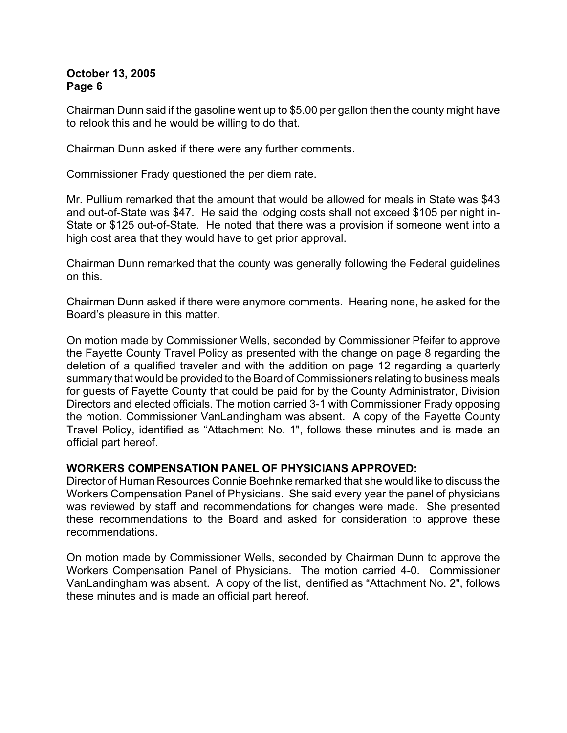Chairman Dunn said if the gasoline went up to \$5.00 per gallon then the county might have to relook this and he would be willing to do that.

Chairman Dunn asked if there were any further comments.

Commissioner Frady questioned the per diem rate.

Mr. Pullium remarked that the amount that would be allowed for meals in State was \$43 and out-of-State was \$47. He said the lodging costs shall not exceed \$105 per night in-State or \$125 out-of-State. He noted that there was a provision if someone went into a high cost area that they would have to get prior approval.

Chairman Dunn remarked that the county was generally following the Federal guidelines on this.

Chairman Dunn asked if there were anymore comments. Hearing none, he asked for the Board's pleasure in this matter.

On motion made by Commissioner Wells, seconded by Commissioner Pfeifer to approve the Fayette County Travel Policy as presented with the change on page 8 regarding the deletion of a qualified traveler and with the addition on page 12 regarding a quarterly summary that would be provided to the Board of Commissioners relating to business meals for guests of Fayette County that could be paid for by the County Administrator, Division Directors and elected officials. The motion carried 3-1 with Commissioner Frady opposing the motion. Commissioner VanLandingham was absent. A copy of the Fayette County Travel Policy, identified as "Attachment No. 1", follows these minutes and is made an official part hereof.

#### **WORKERS COMPENSATION PANEL OF PHYSICIANS APPROVED:**

Director of Human Resources Connie Boehnke remarked that she would like to discuss the Workers Compensation Panel of Physicians. She said every year the panel of physicians was reviewed by staff and recommendations for changes were made. She presented these recommendations to the Board and asked for consideration to approve these recommendations.

On motion made by Commissioner Wells, seconded by Chairman Dunn to approve the Workers Compensation Panel of Physicians. The motion carried 4-0. Commissioner VanLandingham was absent. A copy of the list, identified as "Attachment No. 2", follows these minutes and is made an official part hereof.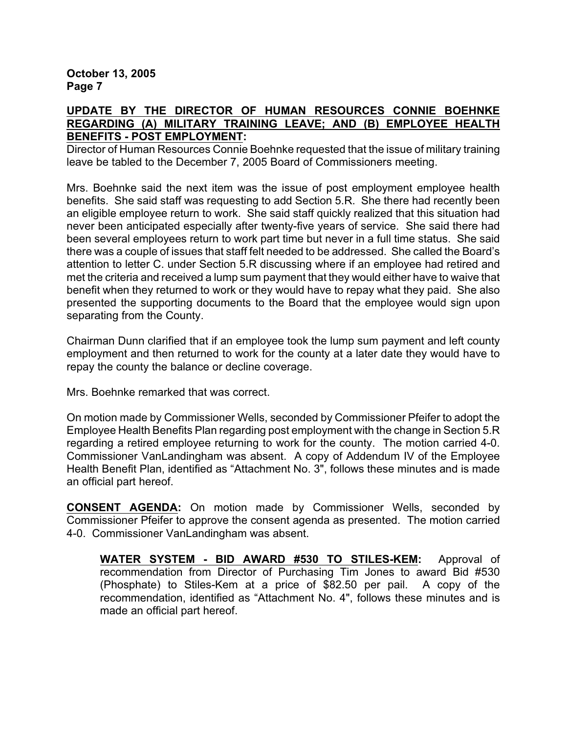### **UPDATE BY THE DIRECTOR OF HUMAN RESOURCES CONNIE BOEHNKE REGARDING (A) MILITARY TRAINING LEAVE; AND (B) EMPLOYEE HEALTH BENEFITS - POST EMPLOYMENT:**

Director of Human Resources Connie Boehnke requested that the issue of military training leave be tabled to the December 7, 2005 Board of Commissioners meeting.

Mrs. Boehnke said the next item was the issue of post employment employee health benefits. She said staff was requesting to add Section 5.R. She there had recently been an eligible employee return to work. She said staff quickly realized that this situation had never been anticipated especially after twenty-five years of service. She said there had been several employees return to work part time but never in a full time status. She said there was a couple of issues that staff felt needed to be addressed. She called the Board's attention to letter C. under Section 5.R discussing where if an employee had retired and met the criteria and received a lump sum payment that they would either have to waive that benefit when they returned to work or they would have to repay what they paid. She also presented the supporting documents to the Board that the employee would sign upon separating from the County.

Chairman Dunn clarified that if an employee took the lump sum payment and left county employment and then returned to work for the county at a later date they would have to repay the county the balance or decline coverage.

Mrs. Boehnke remarked that was correct.

On motion made by Commissioner Wells, seconded by Commissioner Pfeifer to adopt the Employee Health Benefits Plan regarding post employment with the change in Section 5.R regarding a retired employee returning to work for the county. The motion carried 4-0. Commissioner VanLandingham was absent. A copy of Addendum IV of the Employee Health Benefit Plan, identified as "Attachment No. 3", follows these minutes and is made an official part hereof.

**CONSENT AGENDA:** On motion made by Commissioner Wells, seconded by Commissioner Pfeifer to approve the consent agenda as presented. The motion carried 4-0. Commissioner VanLandingham was absent.

**WATER SYSTEM - BID AWARD #530 TO STILES-KEM:** Approval of recommendation from Director of Purchasing Tim Jones to award Bid #530 (Phosphate) to Stiles-Kem at a price of \$82.50 per pail. A copy of the recommendation, identified as "Attachment No. 4", follows these minutes and is made an official part hereof.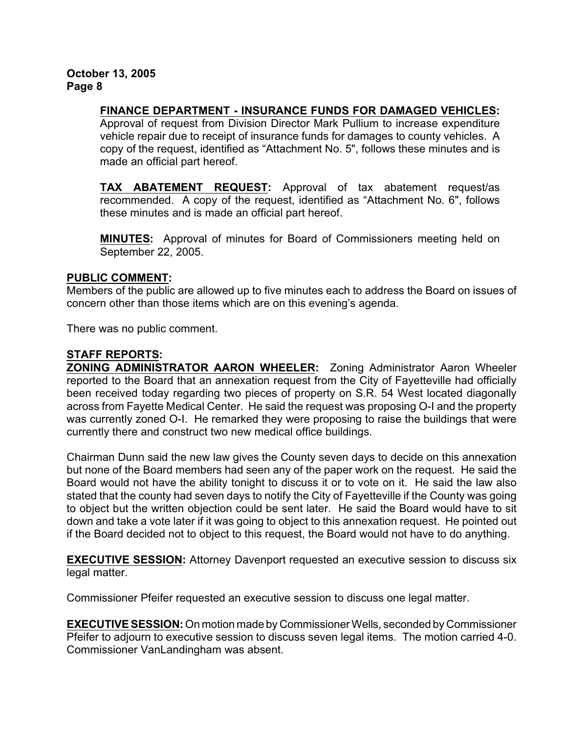## **FINANCE DEPARTMENT - INSURANCE FUNDS FOR DAMAGED VEHICLES:**

Approval of request from Division Director Mark Pullium to increase expenditure vehicle repair due to receipt of insurance funds for damages to county vehicles. A copy of the request, identified as "Attachment No. 5", follows these minutes and is made an official part hereof.

**TAX ABATEMENT REQUEST:** Approval of tax abatement request/as recommended. A copy of the request, identified as "Attachment No. 6", follows these minutes and is made an official part hereof.

**MINUTES:** Approval of minutes for Board of Commissioners meeting held on September 22, 2005.

#### **PUBLIC COMMENT:**

Members of the public are allowed up to five minutes each to address the Board on issues of concern other than those items which are on this evening's agenda.

There was no public comment.

#### **STAFF REPORTS:**

**ZONING ADMINISTRATOR AARON WHEELER:** Zoning Administrator Aaron Wheeler reported to the Board that an annexation request from the City of Fayetteville had officially been received today regarding two pieces of property on S.R. 54 West located diagonally across from Fayette Medical Center. He said the request was proposing O-I and the property was currently zoned O-I. He remarked they were proposing to raise the buildings that were currently there and construct two new medical office buildings.

Chairman Dunn said the new law gives the County seven days to decide on this annexation but none of the Board members had seen any of the paper work on the request. He said the Board would not have the ability tonight to discuss it or to vote on it. He said the law also stated that the county had seven days to notify the City of Fayetteville if the County was going to object but the written objection could be sent later. He said the Board would have to sit down and take a vote later if it was going to object to this annexation request. He pointed out if the Board decided not to object to this request, the Board would not have to do anything.

**EXECUTIVE SESSION:** Attorney Davenport requested an executive session to discuss six legal matter.

Commissioner Pfeifer requested an executive session to discuss one legal matter.

**EXECUTIVE SESSION:** On motion made by Commissioner Wells, seconded by Commissioner Pfeifer to adjourn to executive session to discuss seven legal items. The motion carried 4-0. Commissioner VanLandingham was absent.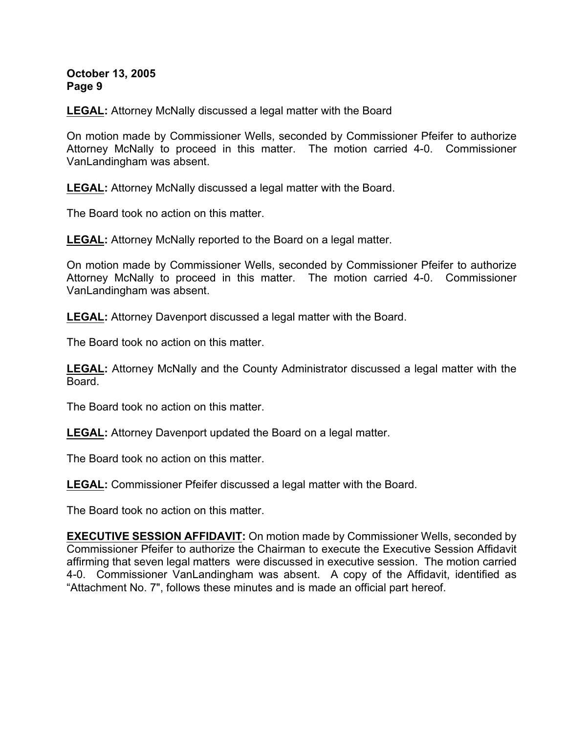**LEGAL:** Attorney McNally discussed a legal matter with the Board

On motion made by Commissioner Wells, seconded by Commissioner Pfeifer to authorize Attorney McNally to proceed in this matter. The motion carried 4-0. Commissioner VanLandingham was absent.

**LEGAL:** Attorney McNally discussed a legal matter with the Board.

The Board took no action on this matter.

**LEGAL:** Attorney McNally reported to the Board on a legal matter.

On motion made by Commissioner Wells, seconded by Commissioner Pfeifer to authorize Attorney McNally to proceed in this matter. The motion carried 4-0. Commissioner VanLandingham was absent.

**LEGAL:** Attorney Davenport discussed a legal matter with the Board.

The Board took no action on this matter.

**LEGAL:** Attorney McNally and the County Administrator discussed a legal matter with the Board.

The Board took no action on this matter.

**LEGAL:** Attorney Davenport updated the Board on a legal matter.

The Board took no action on this matter.

**LEGAL:** Commissioner Pfeifer discussed a legal matter with the Board.

The Board took no action on this matter.

**EXECUTIVE SESSION AFFIDAVIT:** On motion made by Commissioner Wells, seconded by Commissioner Pfeifer to authorize the Chairman to execute the Executive Session Affidavit affirming that seven legal matters were discussed in executive session. The motion carried 4-0. Commissioner VanLandingham was absent. A copy of the Affidavit, identified as "Attachment No. 7", follows these minutes and is made an official part hereof.